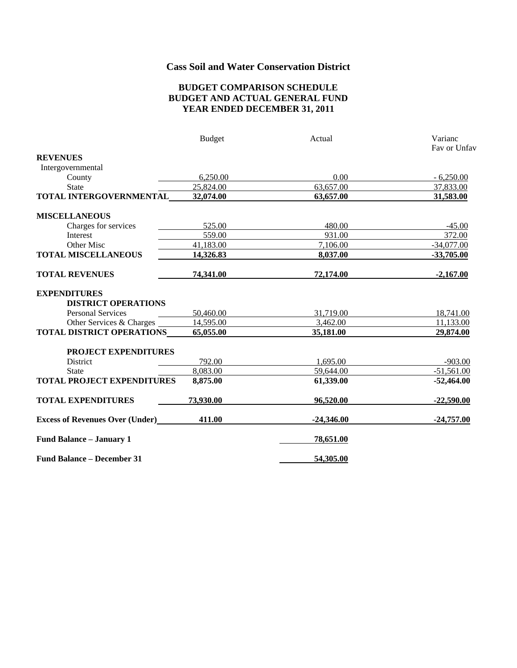## **Cass Soil and Water Conservation District**

#### **BUDGET COMPARISON SCHEDULE BUDGET AND ACTUAL GENERAL FUND YEAR ENDED DECEMBER 31, 2011**

|                                        | <b>Budget</b> | Actual       | Varianc      |
|----------------------------------------|---------------|--------------|--------------|
|                                        |               |              | Fay or Unfay |
| <b>REVENUES</b>                        |               |              |              |
| Intergovernmental                      |               |              |              |
| County                                 | 6,250.00      | 0.00         | $-6,250.00$  |
| <b>State</b>                           | 25,824.00     | 63,657.00    | 37,833.00    |
| TOTAL INTERGOVERNMENTAL                | 32,074.00     | 63,657.00    | 31,583.00    |
| <b>MISCELLANEOUS</b>                   |               |              |              |
| Charges for services                   | 525.00        | 480.00       | $-45.00$     |
| Interest                               | 559.00        | 931.00       | 372.00       |
| Other Misc                             | 41,183.00     | 7,106.00     | $-34,077.00$ |
| <b>TOTAL MISCELLANEOUS</b>             | 14,326.83     | 8,037.00     | $-33,705.00$ |
| <b>TOTAL REVENUES</b>                  | 74,341.00     | 72,174.00    | $-2,167.00$  |
| <b>EXPENDITURES</b>                    |               |              |              |
| <b>DISTRICT OPERATIONS</b>             |               |              |              |
| Personal Services                      | 50,460.00     | 31,719.00    | 18,741.00    |
| Other Services & Charges               | 14,595.00     | 3,462.00     | 11,133.00    |
| TOTAL DISTRICT OPERATIONS              | 65,055.00     | 35,181.00    | 29,874.00    |
| PROJECT EXPENDITURES                   |               |              |              |
| <b>District</b>                        | 792.00        | 1,695.00     | $-903.00$    |
| <b>State</b>                           | 8,083.00      | 59,644.00    | $-51,561.00$ |
| <b>TOTAL PROJECT EXPENDITURES</b>      | 8,875.00      | 61,339.00    | $-52,464.00$ |
| <b>TOTAL EXPENDITURES</b>              | 73,930.00     | 96,520.00    | $-22,590.00$ |
| <b>Excess of Revenues Over (Under)</b> | 411.00        | $-24,346.00$ | $-24,757.00$ |
| <b>Fund Balance - January 1</b>        |               | 78,651.00    |              |
| <b>Fund Balance – December 31</b>      |               | 54,305.00    |              |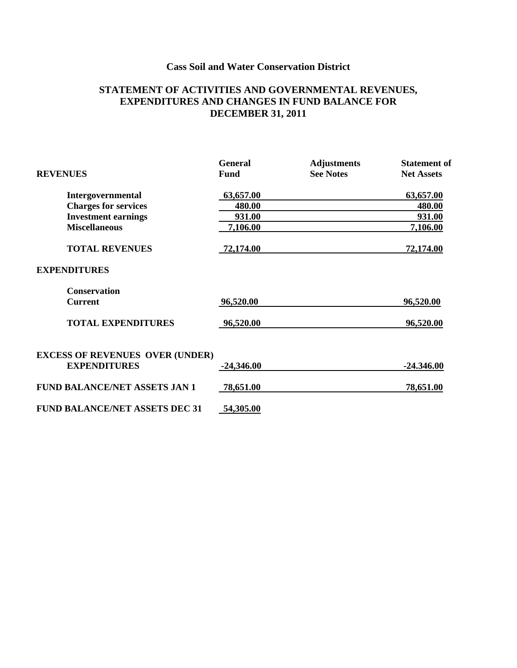# **Cass Soil and Water Conservation District**

### **STATEMENT OF ACTIVITIES AND GOVERNMENTAL REVENUES, EXPENDITURES AND CHANGES IN FUND BALANCE FOR DECEMBER 31, 2011**

|                                        | <b>General</b> | <b>Adjustments</b> | <b>Statement</b> of |
|----------------------------------------|----------------|--------------------|---------------------|
| <b>REVENUES</b>                        | Fund           | <b>See Notes</b>   | <b>Net Assets</b>   |
| Intergovernmental                      | 63,657.00      |                    | 63,657.00           |
| <b>Charges for services</b>            | 480.00         |                    | 480.00              |
| <b>Investment earnings</b>             | 931.00         |                    | 931.00              |
| <b>Miscellaneous</b>                   | 7,106.00       |                    | 7,106.00            |
| <b>TOTAL REVENUES</b>                  | 72,174.00      |                    | 72,174.00           |
| <b>EXPENDITURES</b>                    |                |                    |                     |
| <b>Conservation</b>                    |                |                    |                     |
| <b>Current</b>                         | 96,520.00      |                    | 96,520.00           |
| <b>TOTAL EXPENDITURES</b>              | 96,520.00      |                    | 96,520.00           |
| <b>EXCESS OF REVENUES OVER (UNDER)</b> |                |                    |                     |
| <b>EXPENDITURES</b>                    | $-24,346.00$   |                    | $-24.346.00$        |
| <b>FUND BALANCE/NET ASSETS JAN 1</b>   | 78,651.00      |                    | 78,651.00           |
| <b>FUND BALANCE/NET ASSETS DEC 31</b>  | 54,305.00      |                    |                     |